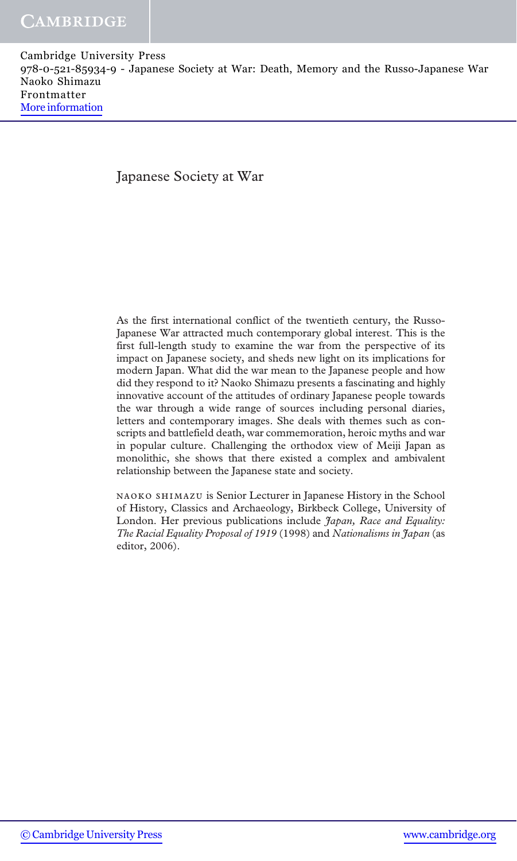### Japanese Society at War

As the first international conflict of the twentieth century, the Russo-Japanese War attracted much contemporary global interest. This is the first full-length study to examine the war from the perspective of its impact on Japanese society, and sheds new light on its implications for modern Japan. What did the war mean to the Japanese people and how did they respond to it? Naoko Shimazu presents a fascinating and highly innovative account of the attitudes of ordinary Japanese people towards the war through a wide range of sources including personal diaries, letters and contemporary images. She deals with themes such as conscripts and battlefield death, war commemoration, heroic myths and war in popular culture. Challenging the orthodox view of Meiji Japan as monolithic, she shows that there existed a complex and ambivalent relationship between the Japanese state and society.

naoko shimazu is Senior Lecturer in Japanese History in the School of History, Classics and Archaeology, Birkbeck College, University of London. Her previous publications include *Japan*, Race and Equality: The Racial Equality Proposal of 1919 (1998) and Nationalisms in Japan (as editor, 2006).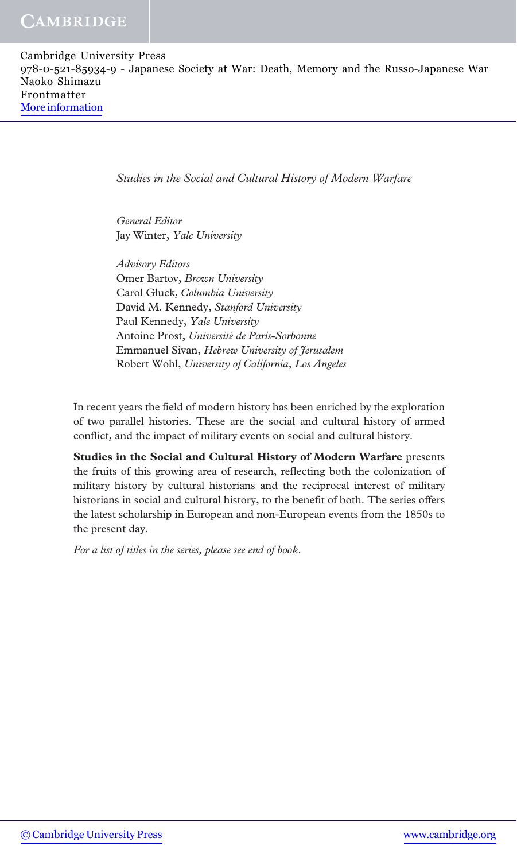Studies in the Social and Cultural History of Modern Warfare

General Editor Jay Winter, Yale University

Advisory Editors Omer Bartov, Brown University Carol Gluck, Columbia University David M. Kennedy, Stanford University Paul Kennedy, Yale University Antoine Prost, Université de Paris-Sorbonne Emmanuel Sivan, Hebrew University of Jerusalem Robert Wohl, University of California, Los Angeles

In recent years the field of modern history has been enriched by the exploration of two parallel histories. These are the social and cultural history of armed conflict, and the impact of military events on social and cultural history.

Studies in the Social and Cultural History of Modern Warfare presents the fruits of this growing area of research, reflecting both the colonization of military history by cultural historians and the reciprocal interest of military historians in social and cultural history, to the benefit of both. The series offers the latest scholarship in European and non-European events from the 1850s to the present day.

For a list of titles in the series, please see end of book.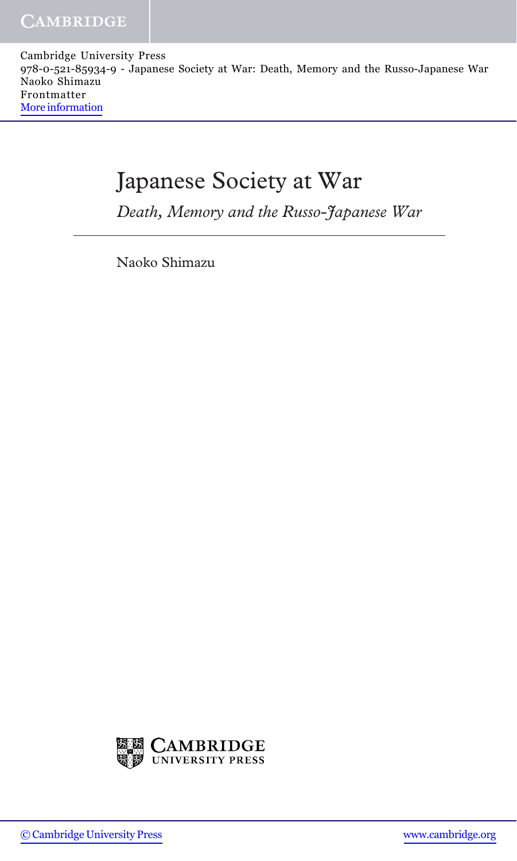# Japanese Society at War

Death, Memory and the Russo-Japanese War

Naoko Shimazu

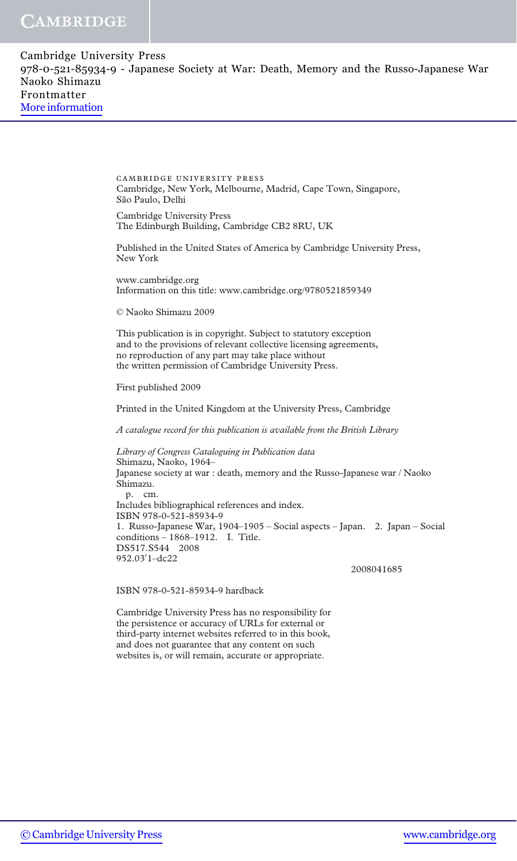| Cambridge University Press                                                            |
|---------------------------------------------------------------------------------------|
| 978-0-521-85934-9 - Japanese Society at War: Death, Memory and the Russo-Japanese War |
| Naoko Shimazu                                                                         |
| Frontmatter                                                                           |
| More information                                                                      |
|                                                                                       |

cambridge university press Cambridge, New York, Melbourne, Madrid, Cape Town, Singapore, São Paulo, Delhi

Cambridge University Press The Edinburgh Building, Cambridge CB2 8RU, UK

Published in the United States of America by Cambridge University Press, New York

www.cambridge.org Information on this title: www.cambridge.org/9780521859349

© Naoko Shimazu 2009

This publication is in copyright. Subject to statutory exception and to the provisions of relevant collective licensing agreements, no reproduction of any part may take place without the written permission of Cambridge University Press.

First published 2009

Printed in the United Kingdom at the University Press, Cambridge

A catalogue record for this publication is available from the British Library

Library of Congress Cataloguing in Publication data Shimazu, Naoko, 1964– Japanese society at war : death, memory and the Russo-Japanese war / Naoko Shimazu. p. cm. Includes bibliographical references and index. ISBN 978-0-521-85934-9 1. Russo-Japanese War, 1904–1905 – Social aspects – Japan. 2. Japan – Social conditions – 1868–1912. I. Title. DS517.S544 2008 952.03′1–dc22

2008041685

ISBN 978-0-521-85934-9 hardback

Cambridge University Press has no responsibility for the persistence or accuracy of URLs for external or third-party internet websites referred to in this book, and does not guarantee that any content on such websites is, or will remain, accurate or appropriate.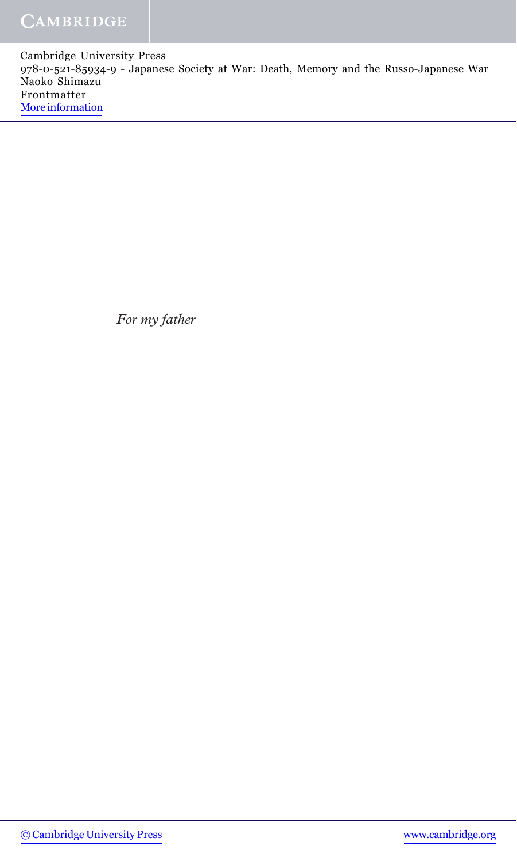For my father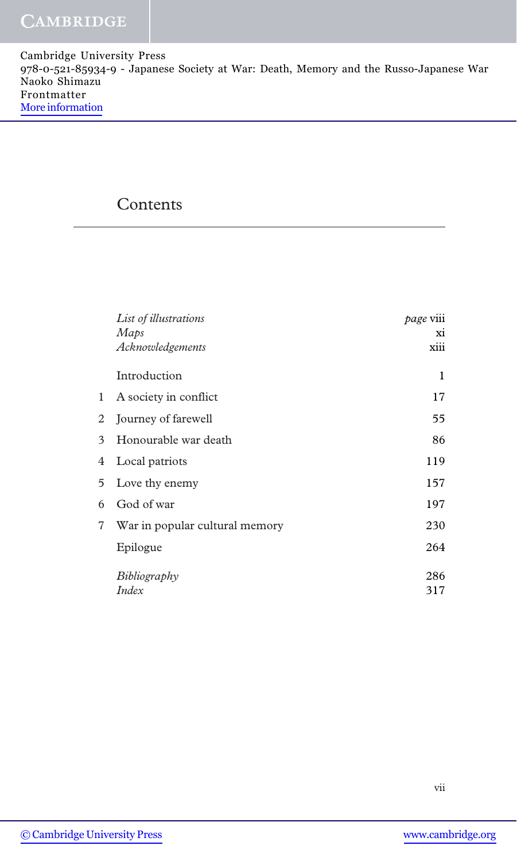### Contents

|              | List of illustrations          | <i>page</i> viii |
|--------------|--------------------------------|------------------|
|              | Maps                           | xi               |
|              | Acknowledgements               | xiii             |
|              | Introduction                   | 1                |
| $\mathbf{1}$ | A society in conflict          | 17               |
| 2            | Journey of farewell            | 55               |
| 3            | Honourable war death           | 86               |
| 4            | Local patriots                 | 119              |
| 5            | Love thy enemy                 | 157              |
| 6            | God of war                     | 197              |
| 7            | War in popular cultural memory | 230              |
|              | Epilogue                       | 264              |
|              | Bibliography                   | 286              |
|              | Index                          | 317              |
|              |                                |                  |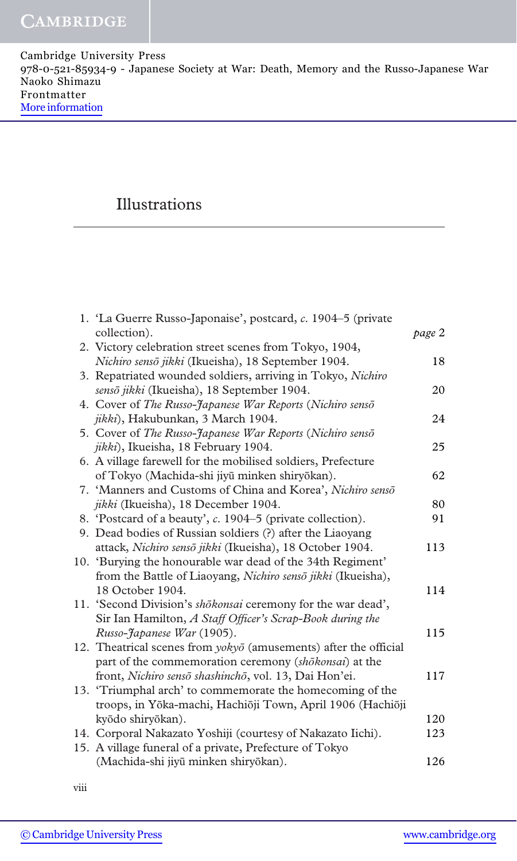# Illustrations

| 1. 'La Guerre Russo-Japonaise', postcard, c. 1904–5 (private             |        |
|--------------------------------------------------------------------------|--------|
| collection).                                                             | page 2 |
| 2. Victory celebration street scenes from Tokyo, 1904,                   |        |
| Nichiro sensō jikki (Ikueisha), 18 September 1904.                       | 18     |
| 3. Repatriated wounded soldiers, arriving in Tokyo, Nichiro              |        |
| sensō jikki (Ikueisha), 18 September 1904.                               | 20     |
| 4. Cover of The Russo-Japanese War Reports (Nichiro senso                |        |
| jikki), Hakubunkan, 3 March 1904.                                        | 24     |
| 5. Cover of The Russo-Japanese War Reports (Nichiro senso                |        |
| jikki), Ikueisha, 18 February 1904.                                      | 25     |
| 6. A village farewell for the mobilised soldiers, Prefecture             |        |
| of Tokyo (Machida-shi jiyū minken shiryōkan).                            | 62     |
| 7. 'Manners and Customs of China and Korea', Nichiro senso               |        |
| jikki (Ikueisha), 18 December 1904.                                      | 80     |
| 8. 'Postcard of a beauty', c. 1904–5 (private collection).               | 91     |
| 9. Dead bodies of Russian soldiers (?) after the Liaoyang                |        |
| attack, Nichiro sensō jikki (Ikueisha), 18 October 1904.                 | 113    |
| 10. 'Burying the honourable war dead of the 34th Regiment'               |        |
| from the Battle of Liaoyang, Nichiro sensō jikki (Ikueisha),             |        |
| 18 October 1904.                                                         | 114    |
| 11. 'Second Division's shokonsai ceremony for the war dead',             |        |
| Sir Ian Hamilton, A Staff Officer's Scrap-Book during the                |        |
| Russo-Japanese War (1905).                                               | 115    |
| 12. Theatrical scenes from $yoky\bar{o}$ (amusements) after the official |        |
| part of the commemoration ceremony (shōkonsai) at the                    |        |
| front, Nichiro sensō shashinchō, vol. 13, Dai Hon'ei.                    | 117    |
| 13. 'Triumphal arch' to commemorate the homecoming of the                |        |
| troops, in Yōka-machi, Hachiōji Town, April 1906 (Hachiōji               |        |
| kyōdo shiryōkan).                                                        | 120    |
| 14. Corporal Nakazato Yoshiji (courtesy of Nakazato Iichi).              | 123    |
| 15. A village funeral of a private, Prefecture of Tokyo                  |        |
| (Machida-shi jiyū minken shiryōkan).                                     | 126    |
|                                                                          |        |

viii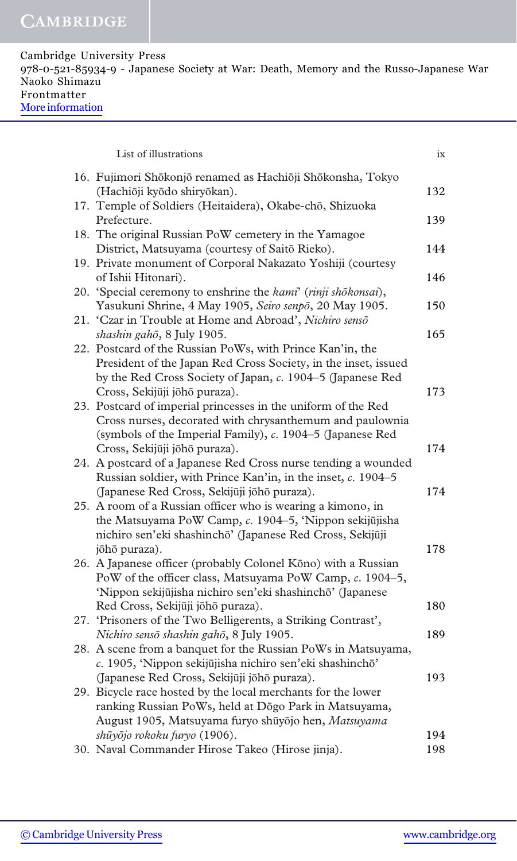| List of illustrations                                                                                                                                                                                                       | ix  |
|-----------------------------------------------------------------------------------------------------------------------------------------------------------------------------------------------------------------------------|-----|
| 16. Fujimori Shōkonjō renamed as Hachiōji Shōkonsha, Tokyo<br>(Hachiōji kyōdo shiryōkan).                                                                                                                                   | 132 |
| 17. Temple of Soldiers (Heitaidera), Okabe-chō, Shizuoka<br>Prefecture.                                                                                                                                                     | 139 |
| 18. The original Russian PoW cemetery in the Yamagoe<br>District, Matsuyama (courtesy of Saitō Rieko).                                                                                                                      | 144 |
| 19. Private monument of Corporal Nakazato Yoshiji (courtesy<br>of Ishii Hitonari).                                                                                                                                          | 146 |
| 20. 'Special ceremony to enshrine the kami' (rinji shōkonsai),<br>Yasukuni Shrine, 4 May 1905, Seiro senpō, 20 May 1905.                                                                                                    | 150 |
| 21. 'Czar in Trouble at Home and Abroad', Nichiro senso<br>shashin gahō, 8 July 1905.                                                                                                                                       | 165 |
| 22. Postcard of the Russian PoWs, with Prince Kan'in, the<br>President of the Japan Red Cross Society, in the inset, issued<br>by the Red Cross Society of Japan, c. 1904-5 (Japanese Red<br>Cross, Sekijūji joho puraza).  | 173 |
| 23. Postcard of imperial princesses in the uniform of the Red<br>Cross nurses, decorated with chrysanthemum and paulownia<br>(symbols of the Imperial Family), c. 1904-5 (Japanese Red                                      |     |
| Cross, Sekijūji joho puraza).                                                                                                                                                                                               | 174 |
| 24. A postcard of a Japanese Red Cross nurse tending a wounded<br>Russian soldier, with Prince Kan'in, in the inset, c. 1904-5<br>(Japanese Red Cross, Sekijūji joho puraza).                                               | 174 |
| 25. A room of a Russian officer who is wearing a kimono, in<br>the Matsuyama PoW Camp, c. 1904-5, 'Nippon sekijūjisha<br>nichiro sen'eki shashinchō' (Japanese Red Cross, Sekijūji                                          |     |
| jōhō puraza).                                                                                                                                                                                                               | 178 |
| 26. A Japanese officer (probably Colonel Kōno) with a Russian<br>PoW of the officer class, Matsuyama PoW Camp, c. 1904-5,<br>'Nippon sekijūjisha nichiro sen'eki shashinchō' (Japanese                                      |     |
| Red Cross, Sekijūji joho puraza).<br>27. 'Prisoners of the Two Belligerents, a Striking Contrast',                                                                                                                          | 180 |
| Nichiro sensō shashin gahō, 8 July 1905.                                                                                                                                                                                    | 189 |
| 28. A scene from a banquet for the Russian PoWs in Matsuyama,<br>c. 1905, 'Nippon sekijūjisha nichiro sen'eki shashinchō'                                                                                                   |     |
| (Japanese Red Cross, Sekijūji jōhō puraza).<br>29. Bicycle race hosted by the local merchants for the lower<br>ranking Russian PoWs, held at Dōgo Park in Matsuyama,<br>August 1905, Matsuyama furyo shūyōjo hen, Matsuyama | 193 |
| shūyōjo rokoku furyo (1906).                                                                                                                                                                                                | 194 |
| 30. Naval Commander Hirose Takeo (Hirose jinja).                                                                                                                                                                            | 198 |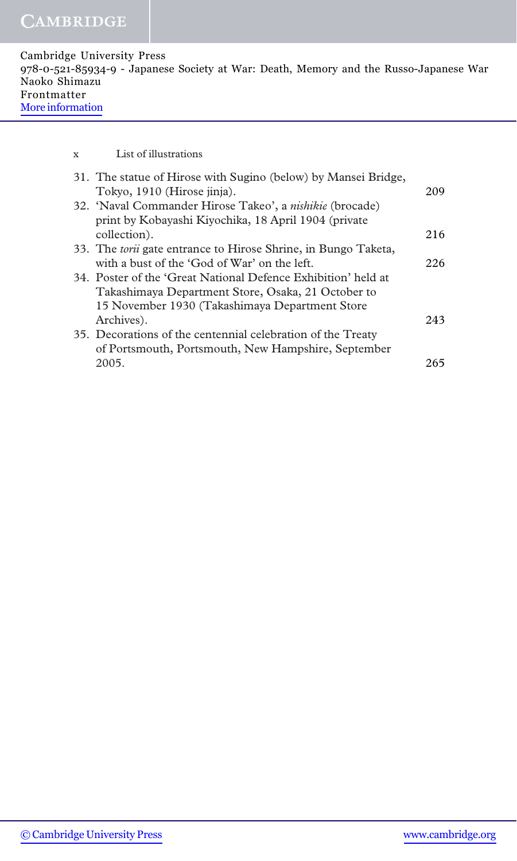| Cambridge University Press                                                            |  |
|---------------------------------------------------------------------------------------|--|
| 978-0-521-85934-9 - Japanese Society at War: Death, Memory and the Russo-Japanese War |  |
| Naoko Shimazu                                                                         |  |
| Frontmatter                                                                           |  |
| More information                                                                      |  |
|                                                                                       |  |

x List of illustrations

| 31. The statue of Hirose with Sugino (below) by Mansei Bridge,<br>Tokyo, 1910 (Hirose jinja). | 209 |
|-----------------------------------------------------------------------------------------------|-----|
| 32. 'Naval Commander Hirose Takeo', a <i>nishikie</i> (brocade)                               |     |
| print by Kobayashi Kiyochika, 18 April 1904 (private                                          |     |
| collection).                                                                                  | 216 |
| 33. The <i>torii</i> gate entrance to Hirose Shrine, in Bungo Taketa,                         |     |
| with a bust of the 'God of War' on the left.                                                  | 226 |
| 34. Poster of the 'Great National Defence Exhibition' held at                                 |     |
| Takashimaya Department Store, Osaka, 21 October to                                            |     |
| 15 November 1930 (Takashimaya Department Store                                                |     |
| Archives).                                                                                    | 243 |
| 35. Decorations of the centennial celebration of the Treaty                                   |     |
| of Portsmouth, Portsmouth, New Hampshire, September                                           |     |
| 2005.                                                                                         | 265 |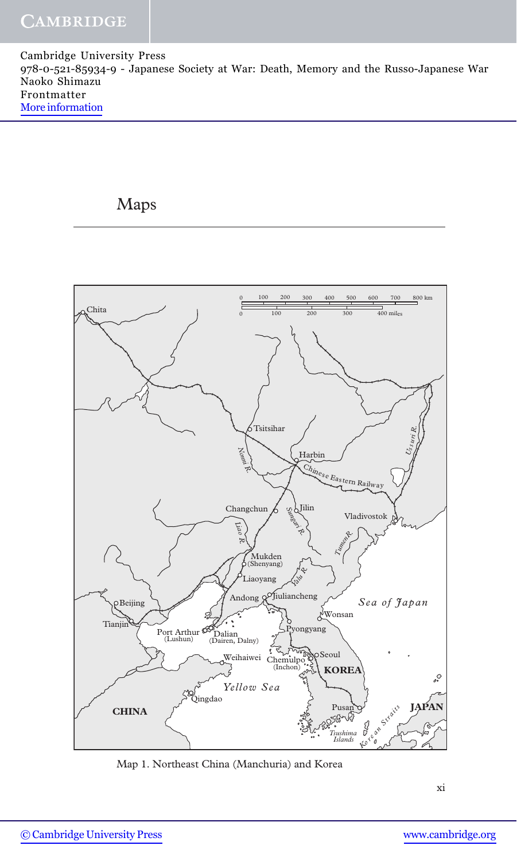# Maps



Map 1. Northeast China (Manchuria) and Korea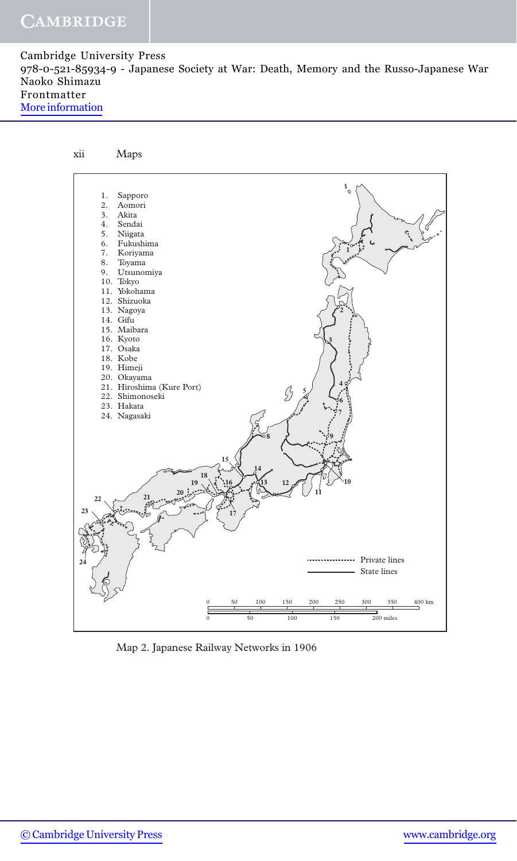

Map 2. Japanese Railway Networks in 1906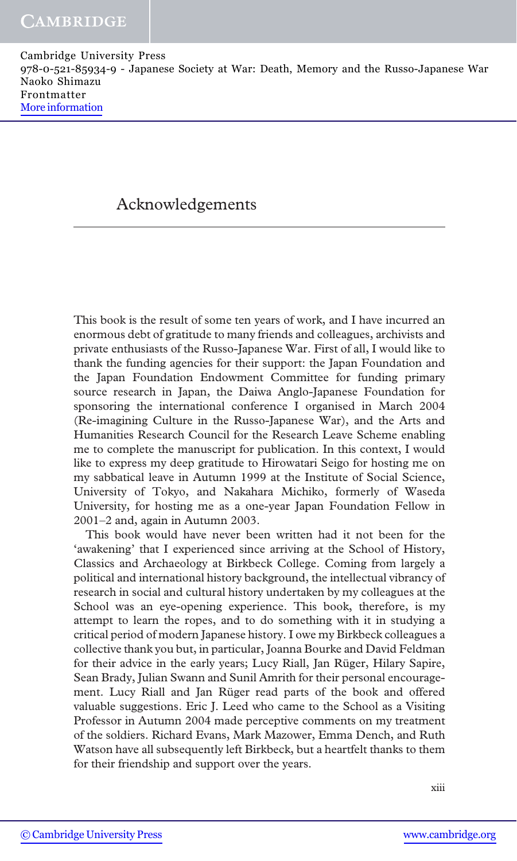## Acknowledgements

This book is the result of some ten years of work, and I have incurred an enormous debt of gratitude to many friends and colleagues, archivists and private enthusiasts of the Russo-Japanese War. First of all, I would like to thank the funding agencies for their support: the Japan Foundation and the Japan Foundation Endowment Committee for funding primary source research in Japan, the Daiwa Anglo-Japanese Foundation for sponsoring the international conference I organised in March 2004 (Re-imagining Culture in the Russo-Japanese War), and the Arts and Humanities Research Council for the Research Leave Scheme enabling me to complete the manuscript for publication. In this context, I would like to express my deep gratitude to Hirowatari Seigo for hosting me on my sabbatical leave in Autumn 1999 at the Institute of Social Science, University of Tokyo, and Nakahara Michiko, formerly of Waseda University, for hosting me as a one-year Japan Foundation Fellow in 2001–2 and, again in Autumn 2003.

This book would have never been written had it not been for the 'awakening' that I experienced since arriving at the School of History, Classics and Archaeology at Birkbeck College. Coming from largely a political and international history background, the intellectual vibrancy of research in social and cultural history undertaken by my colleagues at the School was an eye-opening experience. This book, therefore, is my attempt to learn the ropes, and to do something with it in studying a critical period of modern Japanese history. I owe my Birkbeck colleagues a collective thank you but, in particular, Joanna Bourke and David Feldman for their advice in the early years; Lucy Riall, Jan Rüger, Hilary Sapire, Sean Brady, Julian Swann and Sunil Amrith for their personal encouragement. Lucy Riall and Jan Rüger read parts of the book and offered valuable suggestions. Eric J. Leed who came to the School as a Visiting Professor in Autumn 2004 made perceptive comments on my treatment of the soldiers. Richard Evans, Mark Mazower, Emma Dench, and Ruth Watson have all subsequently left Birkbeck, but a heartfelt thanks to them for their friendship and support over the years.

xiii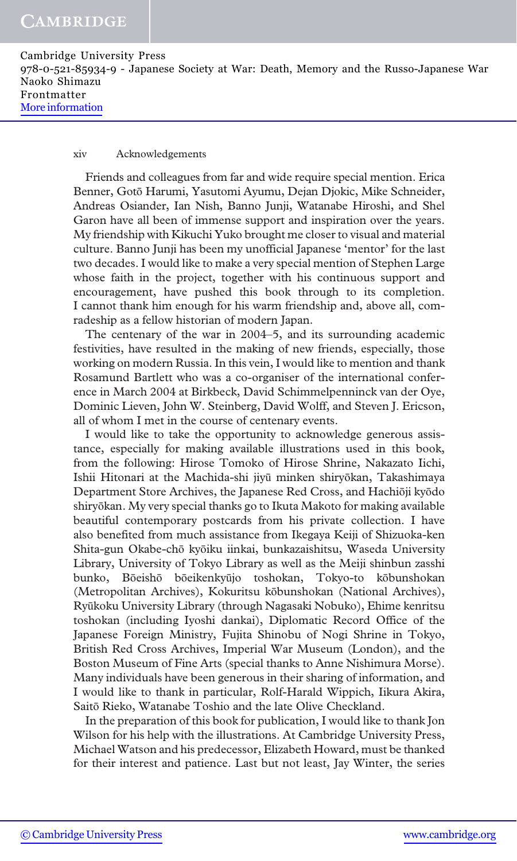#### xiv Acknowledgements

Friends and colleagues from far and wide require special mention. Erica Benner, Gotō Harumi, Yasutomi Ayumu, Dejan Djokic, Mike Schneider, Andreas Osiander, Ian Nish, Banno Junji, Watanabe Hiroshi, and Shel Garon have all been of immense support and inspiration over the years. My friendship with Kikuchi Yuko brought me closer to visual and material culture. Banno Junji has been my unofficial Japanese 'mentor' for the last two decades. I would like to make a very special mention of Stephen Large whose faith in the project, together with his continuous support and encouragement, have pushed this book through to its completion. I cannot thank him enough for his warm friendship and, above all, comradeship as a fellow historian of modern Japan.

The centenary of the war in 2004–5, and its surrounding academic festivities, have resulted in the making of new friends, especially, those working on modern Russia. In this vein, I would like to mention and thank Rosamund Bartlett who was a co-organiser of the international conference in March 2004 at Birkbeck, David Schimmelpenninck van der Oye, Dominic Lieven, John W. Steinberg, David Wolff, and Steven J. Ericson, all of whom I met in the course of centenary events.

I would like to take the opportunity to acknowledge generous assistance, especially for making available illustrations used in this book, from the following: Hirose Tomoko of Hirose Shrine, Nakazato Iichi, Ishii Hitonari at the Machida-shi jiyū minken shiryōkan, Takashimaya Department Store Archives, the Japanese Red Cross, and Hachiōji kyōdo shiryōkan. My very special thanks go to Ikuta Makoto for making available beautiful contemporary postcards from his private collection. I have also benefited from much assistance from Ikegaya Keiji of Shizuoka-ken Shita-gun Okabe-chō kyōiku iinkai, bunkazaishitsu, Waseda University Library, University of Tokyo Library as well as the Meiji shinbun zasshi bunko, Bōeishō bōeikenkyūjo toshokan, Tokyo-to kōbunshokan (Metropolitan Archives), Kokuritsu kōbunshokan (National Archives), Ryūkoku University Library (through Nagasaki Nobuko), Ehime kenritsu toshokan (including Iyoshi dankai), Diplomatic Record Office of the Japanese Foreign Ministry, Fujita Shinobu of Nogi Shrine in Tokyo, British Red Cross Archives, Imperial War Museum (London), and the Boston Museum of Fine Arts (special thanks to Anne Nishimura Morse). Many individuals have been generous in their sharing of information, and I would like to thank in particular, Rolf-Harald Wippich, Iikura Akira, Saitō Rieko, Watanabe Toshio and the late Olive Checkland.

In the preparation of this book for publication, I would like to thank Jon Wilson for his help with the illustrations. At Cambridge University Press, Michael Watson and his predecessor, Elizabeth Howard, must be thanked for their interest and patience. Last but not least, Jay Winter, the series